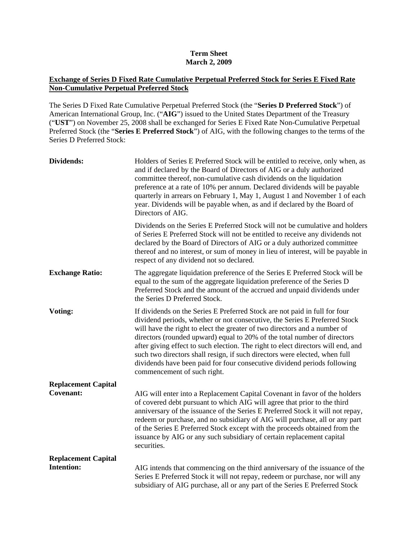## **Term Sheet March 2, 2009**

## **Exchange of Series D Fixed Rate Cumulative Perpetual Preferred Stock for Series E Fixed Rate Non-Cumulative Perpetual Preferred Stock**

The Series D Fixed Rate Cumulative Perpetual Preferred Stock (the "**Series D Preferred Stock**") of American International Group, Inc. ("**AIG**") issued to the United States Department of the Treasury ("**UST**") on November 25, 2008 shall be exchanged for Series E Fixed Rate Non-Cumulative Perpetual Preferred Stock (the "**Series E Preferred Stock**") of AIG, with the following changes to the terms of the Series D Preferred Stock:

| <b>Dividends:</b>          | Holders of Series E Preferred Stock will be entitled to receive, only when, as<br>and if declared by the Board of Directors of AIG or a duly authorized<br>committee thereof, non-cumulative cash dividends on the liquidation<br>preference at a rate of 10% per annum. Declared dividends will be payable<br>quarterly in arrears on February 1, May 1, August 1 and November 1 of each<br>year. Dividends will be payable when, as and if declared by the Board of<br>Directors of AIG.                                                                                                     |
|----------------------------|------------------------------------------------------------------------------------------------------------------------------------------------------------------------------------------------------------------------------------------------------------------------------------------------------------------------------------------------------------------------------------------------------------------------------------------------------------------------------------------------------------------------------------------------------------------------------------------------|
|                            | Dividends on the Series E Preferred Stock will not be cumulative and holders<br>of Series E Preferred Stock will not be entitled to receive any dividends not<br>declared by the Board of Directors of AIG or a duly authorized committee<br>thereof and no interest, or sum of money in lieu of interest, will be payable in<br>respect of any dividend not so declared.                                                                                                                                                                                                                      |
| <b>Exchange Ratio:</b>     | The aggregate liquidation preference of the Series E Preferred Stock will be<br>equal to the sum of the aggregate liquidation preference of the Series D<br>Preferred Stock and the amount of the accrued and unpaid dividends under<br>the Series D Preferred Stock.                                                                                                                                                                                                                                                                                                                          |
| Voting:                    | If dividends on the Series E Preferred Stock are not paid in full for four<br>dividend periods, whether or not consecutive, the Series E Preferred Stock<br>will have the right to elect the greater of two directors and a number of<br>directors (rounded upward) equal to 20% of the total number of directors<br>after giving effect to such election. The right to elect directors will end, and<br>such two directors shall resign, if such directors were elected, when full<br>dividends have been paid for four consecutive dividend periods following<br>commencement of such right. |
| <b>Replacement Capital</b> |                                                                                                                                                                                                                                                                                                                                                                                                                                                                                                                                                                                                |
| <b>Covenant:</b>           | AIG will enter into a Replacement Capital Covenant in favor of the holders<br>of covered debt pursuant to which AIG will agree that prior to the third<br>anniversary of the issuance of the Series E Preferred Stock it will not repay,<br>redeem or purchase, and no subsidiary of AIG will purchase, all or any part<br>of the Series E Preferred Stock except with the proceeds obtained from the<br>issuance by AIG or any such subsidiary of certain replacement capital<br>securities.                                                                                                  |
| <b>Replacement Capital</b> |                                                                                                                                                                                                                                                                                                                                                                                                                                                                                                                                                                                                |
| <b>Intention:</b>          | AIG intends that commencing on the third anniversary of the issuance of the<br>Series E Preferred Stock it will not repay, redeem or purchase, nor will any<br>subsidiary of AIG purchase, all or any part of the Series E Preferred Stock                                                                                                                                                                                                                                                                                                                                                     |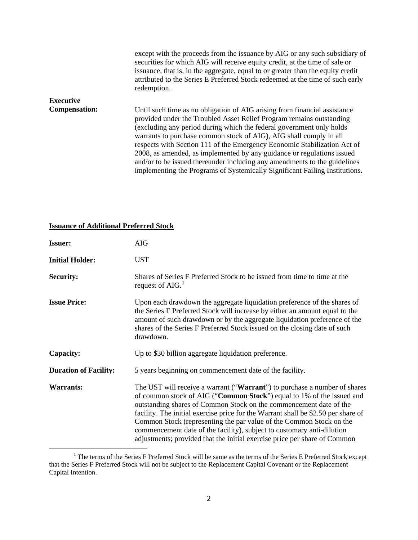|                      | except with the proceeds from the issuance by AIG or any such subsidiary of<br>securities for which AIG will receive equity credit, at the time of sale or<br>issuance, that is, in the aggregate, equal to or greater than the equity credit<br>attributed to the Series E Preferred Stock redeemed at the time of such early<br>redemption.                                                                                                                                                                                                                                                                     |
|----------------------|-------------------------------------------------------------------------------------------------------------------------------------------------------------------------------------------------------------------------------------------------------------------------------------------------------------------------------------------------------------------------------------------------------------------------------------------------------------------------------------------------------------------------------------------------------------------------------------------------------------------|
| <b>Executive</b>     |                                                                                                                                                                                                                                                                                                                                                                                                                                                                                                                                                                                                                   |
| <b>Compensation:</b> | Until such time as no obligation of AIG arising from financial assistance<br>provided under the Troubled Asset Relief Program remains outstanding<br>(excluding any period during which the federal government only holds<br>warrants to purchase common stock of AIG), AIG shall comply in all<br>respects with Section 111 of the Emergency Economic Stabilization Act of<br>2008, as amended, as implemented by any guidance or regulations issued<br>and/or to be issued thereunder including any amendments to the guidelines<br>implementing the Programs of Systemically Significant Failing Institutions. |

## **Issuance of Additional Preferred Stock**

| <b>Issuer:</b>               | <b>AIG</b>                                                                                                                                                                                                                                                                                                                                                                                                                                                                                                                                  |
|------------------------------|---------------------------------------------------------------------------------------------------------------------------------------------------------------------------------------------------------------------------------------------------------------------------------------------------------------------------------------------------------------------------------------------------------------------------------------------------------------------------------------------------------------------------------------------|
| <b>Initial Holder:</b>       | <b>UST</b>                                                                                                                                                                                                                                                                                                                                                                                                                                                                                                                                  |
| <b>Security:</b>             | Shares of Series F Preferred Stock to be issued from time to time at the<br>request of AIG. $1$                                                                                                                                                                                                                                                                                                                                                                                                                                             |
| <b>Issue Price:</b>          | Upon each drawdown the aggregate liquidation preference of the shares of<br>the Series F Preferred Stock will increase by either an amount equal to the<br>amount of such drawdown or by the aggregate liquidation preference of the<br>shares of the Series F Preferred Stock issued on the closing date of such<br>drawdown.                                                                                                                                                                                                              |
| Capacity:                    | Up to \$30 billion aggregate liquidation preference.                                                                                                                                                                                                                                                                                                                                                                                                                                                                                        |
| <b>Duration of Facility:</b> | 5 years beginning on commencement date of the facility.                                                                                                                                                                                                                                                                                                                                                                                                                                                                                     |
| <b>Warrants:</b>             | The UST will receive a warrant ("Warrant") to purchase a number of shares<br>of common stock of AIG ("Common Stock") equal to 1% of the issued and<br>outstanding shares of Common Stock on the commencement date of the<br>facility. The initial exercise price for the Warrant shall be \$2.50 per share of<br>Common Stock (representing the par value of the Common Stock on the<br>commencement date of the facility), subject to customary anti-dilution<br>adjustments; provided that the initial exercise price per share of Common |

<span id="page-1-0"></span><sup>&</sup>lt;sup>1</sup> The terms of the Series F Preferred Stock will be same as the terms of the Series E Preferred Stock except that the Series F Preferred Stock will not be subject to the Replacement Capital Covenant or the Replacement Capital Intention.